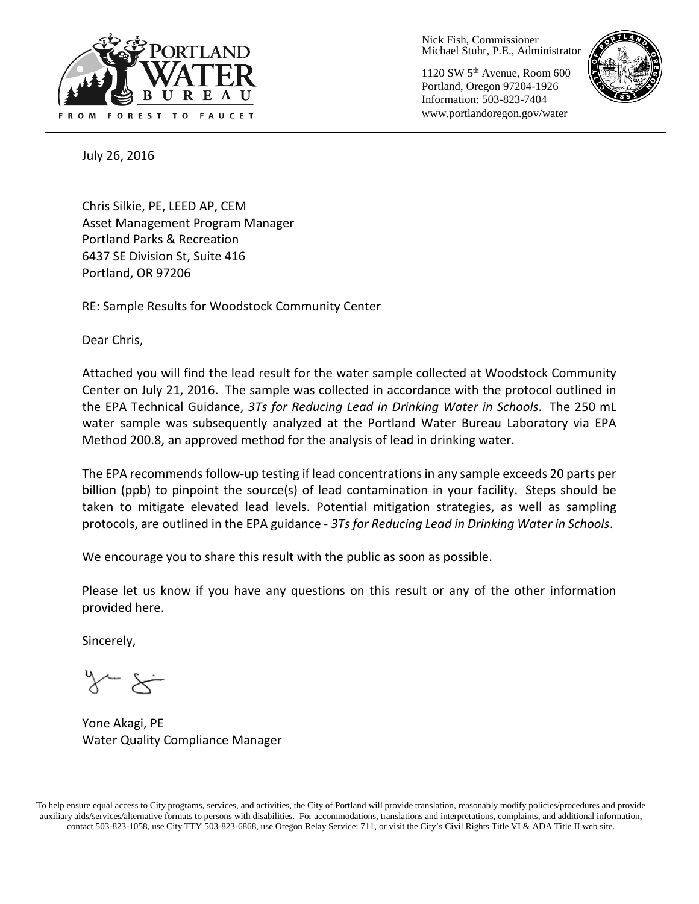

Nick Fish, Commissioner Michael Stuhr, P.E., Administrator

1120 SW 5th Avenue, Room 600 Portland, Oregon 97204-1926 Information: 503-823-7404 www.portlandoregon.gov/water



July 26, 2016

Chris Silkie, PE, LEED AP, CEM Asset Management Program Manager Portland Parks & Recreation 6437 SE Division St, Suite 416 Portland, OR 97206

RE: Sample Results for Woodstock Community Center

Dear Chris,

Attached you will find the lead result for the water sample collected at Woodstock Community Center on July 21, 2016. The sample was collected in accordance with the protocol outlined in the EPA Technical Guidance, *3Ts for Reducing Lead in Drinking Water in Schools*. The 250 mL water sample was subsequently analyzed at the Portland Water Bureau Laboratory via EPA Method 200.8, an approved method for the analysis of lead in drinking water.

The EPA recommends follow-up testing if lead concentrations in any sample exceeds 20 parts per billion (ppb) to pinpoint the source(s) of lead contamination in your facility. Steps should be taken to mitigate elevated lead levels. Potential mitigation strategies, as well as sampling protocols, are outlined in the EPA guidance - *3Ts for Reducing Lead in Drinking Water in Schools*.

We encourage you to share this result with the public as soon as possible.

Please let us know if you have any questions on this result or any of the other information provided here.

Sincerely,

Yone Akagi, PE Water Quality Compliance Manager

To help ensure equal access to City programs, services, and activities, the City of Portland will provide translation, reasonably modify policies/procedures and provide auxiliary aids/services/alternative formats to persons with disabilities. For accommodations, translations and interpretations, complaints, and additional information, contact 503-823-1058, use City TTY 503-823-6868, use Oregon Relay Service: 711, or visi[t the City's Civil Rights Title VI & ADA Title II web site.](http://www.portlandoregon.gov/oehr/66458)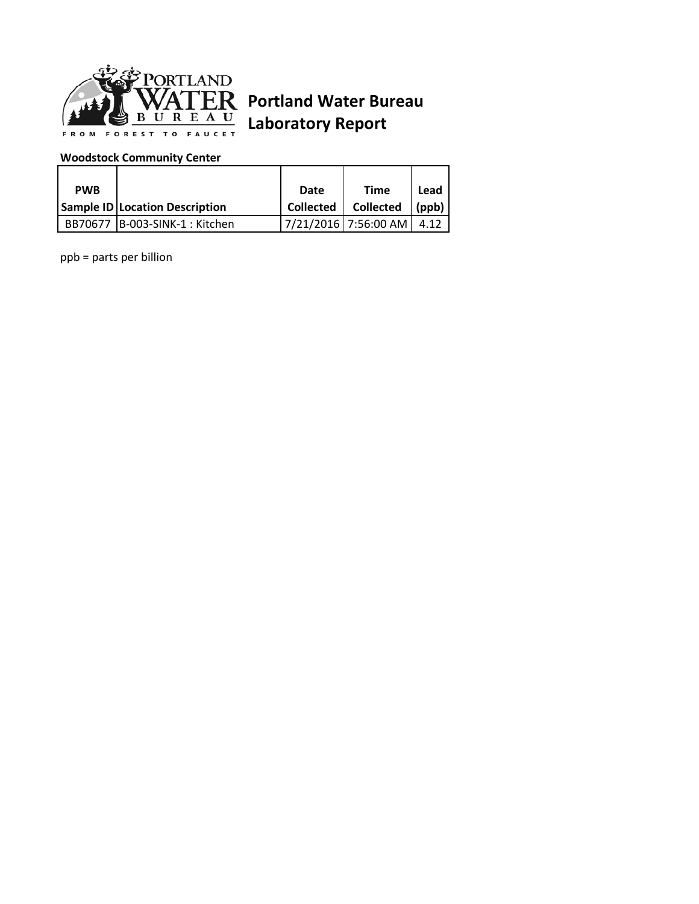

## **Portland Water Bureau Laboratory Report**

## **Woodstock Community Center**

| <b>PWB</b> |                                       | Date      | <b>Time</b>          | Lead      |
|------------|---------------------------------------|-----------|----------------------|-----------|
|            | <b>Sample ID Location Description</b> | Collected | <b>Collected</b>     | $ $ (ppb) |
|            | BB70677  B-003-SINK-1 : Kitchen       |           | 7/21/2016 7:56:00 AM | 4.12      |

ppb = parts per billion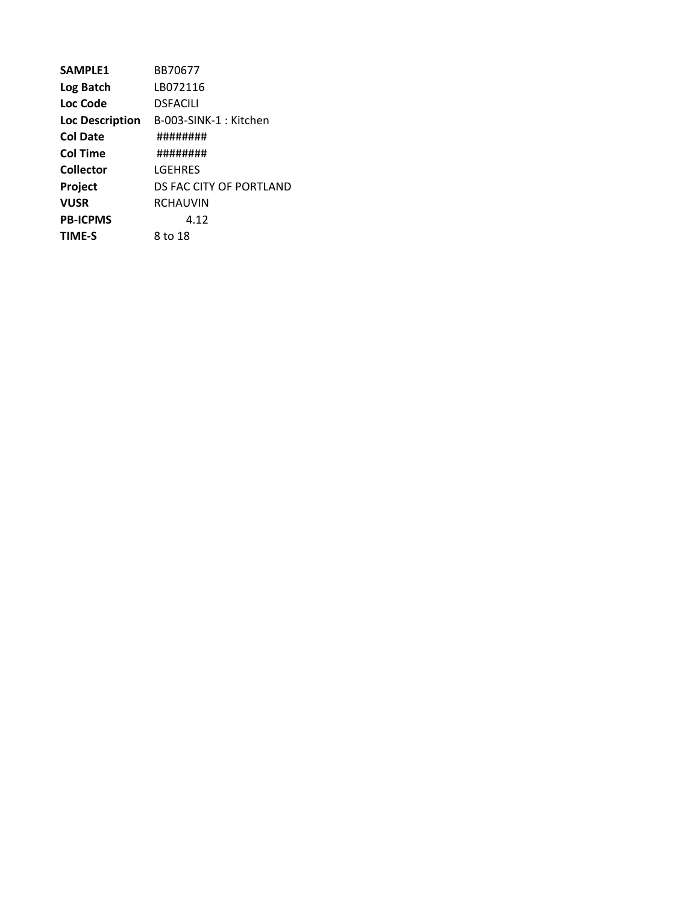| <b>SAMPLE1</b>         | BB70677                 |
|------------------------|-------------------------|
| Log Batch              | LB072116                |
| Loc Code               | <b>DSFACILI</b>         |
| <b>Loc Description</b> | B-003-SINK-1 : Kitchen  |
| Col Date               | ########                |
| Col Time               | ########                |
| Collector              | LGEHRES                 |
| Project                | DS FAC CITY OF PORTLAND |
| <b>VUSR</b>            | <b>RCHAUVIN</b>         |
| <b>PB-ICPMS</b>        | 4.12                    |
| TIME-S                 | 8 to 18                 |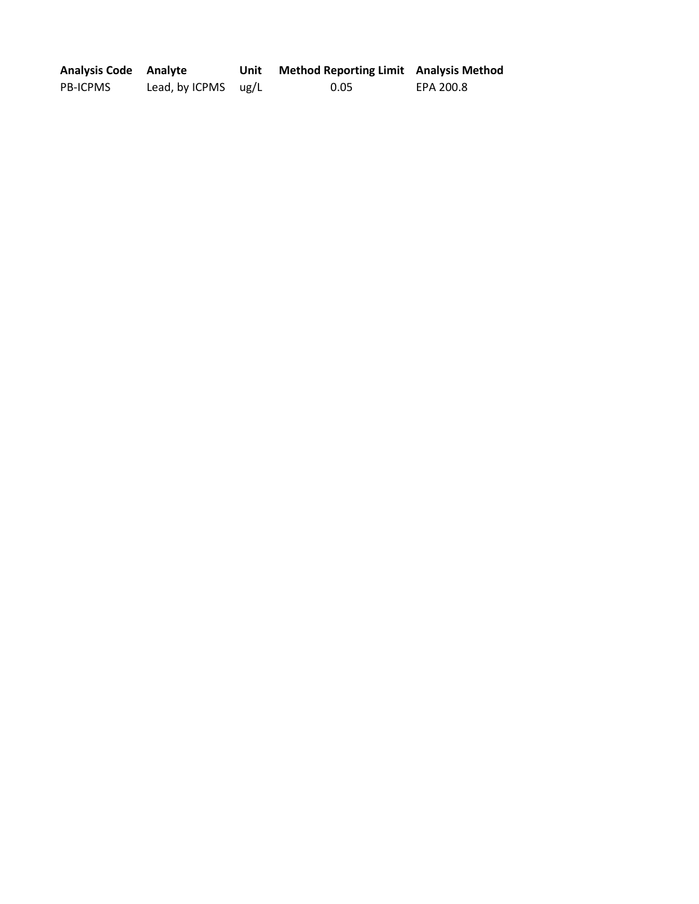| <b>Analysis Code</b> Analyte |                       | Unit | <b>Method Reporting Limit</b> Analysis Method |           |
|------------------------------|-----------------------|------|-----------------------------------------------|-----------|
| <b>PB-ICPMS</b>              | Lead, by ICPMS $ug/L$ |      | 0.05                                          | EPA 200.8 |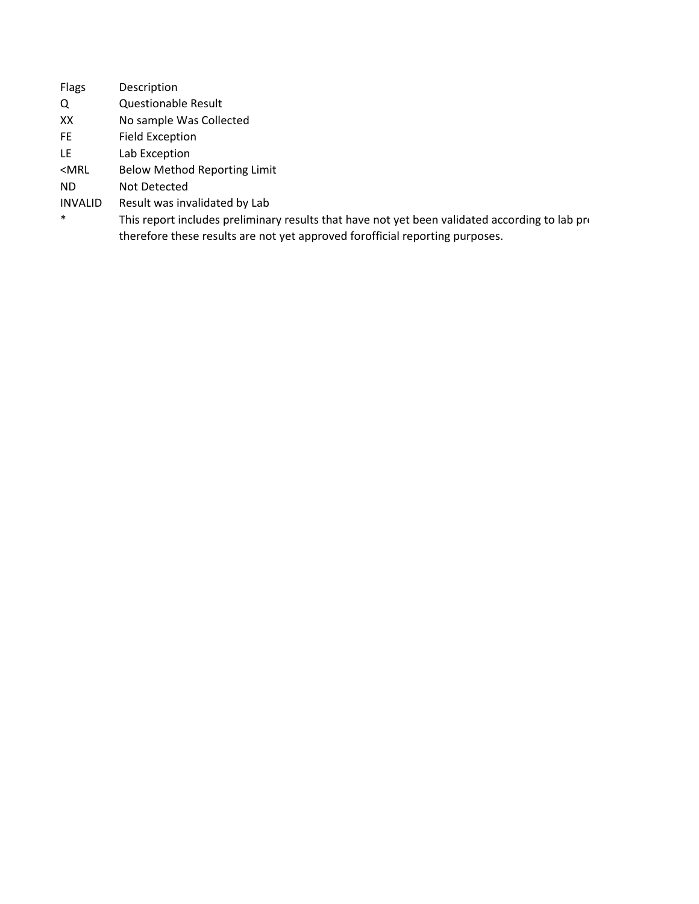| <b>Flags</b>   | Description                                                                                    |
|----------------|------------------------------------------------------------------------------------------------|
| Q              | <b>Questionable Result</b>                                                                     |
| XX             | No sample Was Collected                                                                        |
| FE.            | <b>Field Exception</b>                                                                         |
| LE.            | Lab Exception                                                                                  |
| $<$ MRL        | <b>Below Method Reporting Limit</b>                                                            |
| ND.            | Not Detected                                                                                   |
| <b>INVALID</b> | Result was invalidated by Lab                                                                  |
| $\ast$         | This report includes preliminary results that have not yet been validated according to lab pro |
|                | therefore these results are not yet approved for official reporting purposes.                  |